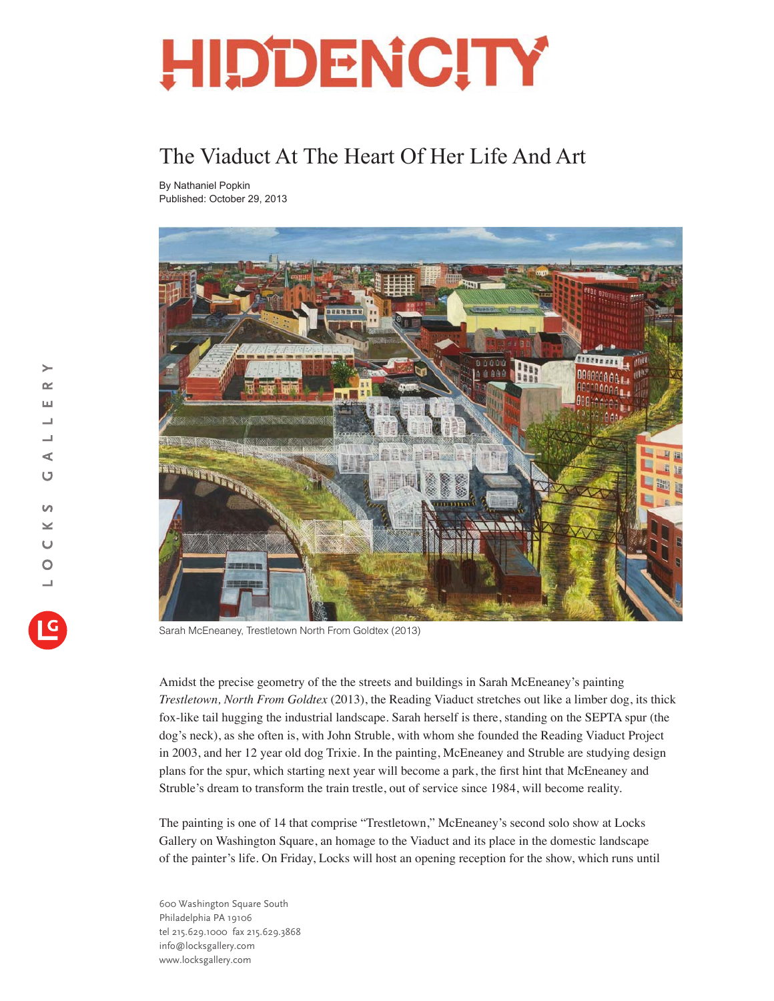## **HIDDENCITY**

## The Viaduct At The Heart Of Her Life And Art

By Nathaniel Popkin Published: October 29, 2013



Sarah McEneaney, Trestletown North From Goldtex (2013)

Amidst the precise geometry of the the streets and buildings in Sarah McEneaney's painting *Trestletown, North From Goldtex* (2013), the Reading Viaduct stretches out like a limber dog, its thick fox-like tail hugging the industrial landscape. Sarah herself is there, standing on the SEPTA spur (the dog's neck), as she often is, with John Struble, with whom she founded the Reading Viaduct Project in 2003, and her 12 year old dog Trixie. In the painting, McEneaney and Struble are studying design plans for the spur, which starting next year will become a park, the first hint that McEneaney and Struble's dream to transform the train trestle, out of service since 1984, will become reality.

The painting is one of 14 that comprise "Trestletown," McEneaney's second solo show at Locks Gallery on Washington Square, an homage to the Viaduct and its place in the domestic landscape of the painter's life. On Friday, Locks will host an opening reception for the show, which runs until

600 Washington Square South Philadelphia PA 19106 tel 215.629.1000 fax 215.629.3868 info@locksgallery.com www.locksgallery.com

 $\rightarrow$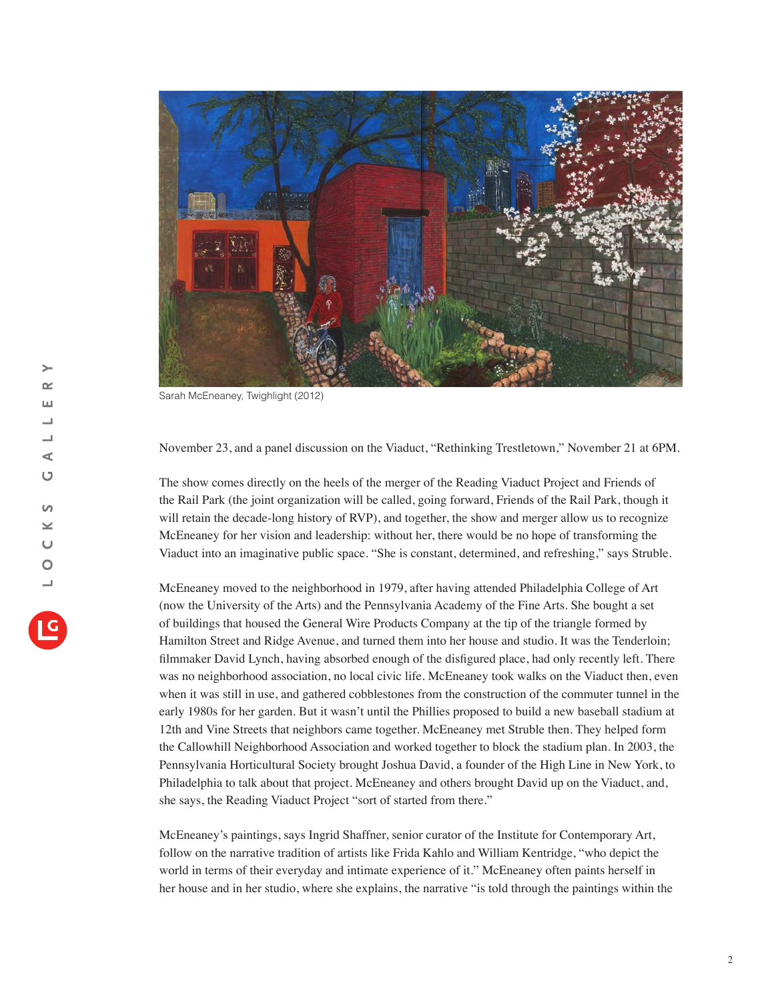

Sarah McEneaney, Twighlight (2012)

November 23, and a panel discussion on the Viaduct, "Rethinking Trestletown," November 21 at 6PM.

The show comes directly on the heels of the merger of the Reading Viaduct Project and Friends of the Rail Park (the joint organization will be called, going forward, Friends of the Rail Park, though it will retain the decade-long history of RVP), and together, the show and merger allow us to recognize McEneaney for her vision and leadership: without her, there would be no hope of transforming the Viaduct into an imaginative public space. "She is constant, determined, and refreshing," says Struble.

McEneaney moved to the neighborhood in 1979, after having attended Philadelphia College of Art (now the University of the Arts) and the Pennsylvania Academy of the Fine Arts. She bought a set of buildings that housed the General Wire Products Company at the tip of the triangle formed by Hamilton Street and Ridge Avenue, and turned them into her house and studio. It was the Tenderloin; filmmaker David Lynch, having absorbed enough of the disfigured place, had only recently left. There was no neighborhood association, no local civic life. McEneaney took walks on the Viaduct then, even when it was still in use, and gathered cobblestones from the construction of the commuter tunnel in the early 1980s for her garden. But it wasn't until the Phillies proposed to build a new baseball stadium at 12th and Vine Streets that neighbors came together. McEneaney met Struble then. They helped form the Callowhill Neighborhood Association and worked together to block the stadium plan. In 2003, the Pennsylvania Horticultural Society brought Joshua David, a founder of the High Line in New York, to Philadelphia to talk about that project. McEneaney and others brought David up on the Viaduct, and, she says, the Reading Viaduct Project "sort of started from there."

McEneaney's paintings, says Ingrid Shaffner, senior curator of the Institute for Contemporary Art, follow on the narrative tradition of artists like Frida Kahlo and William Kentridge, "who depict the world in terms of their everyday and intimate experience of it." McEneaney often paints herself in her house and in her studio, where she explains, the narrative "is told through the paintings within the